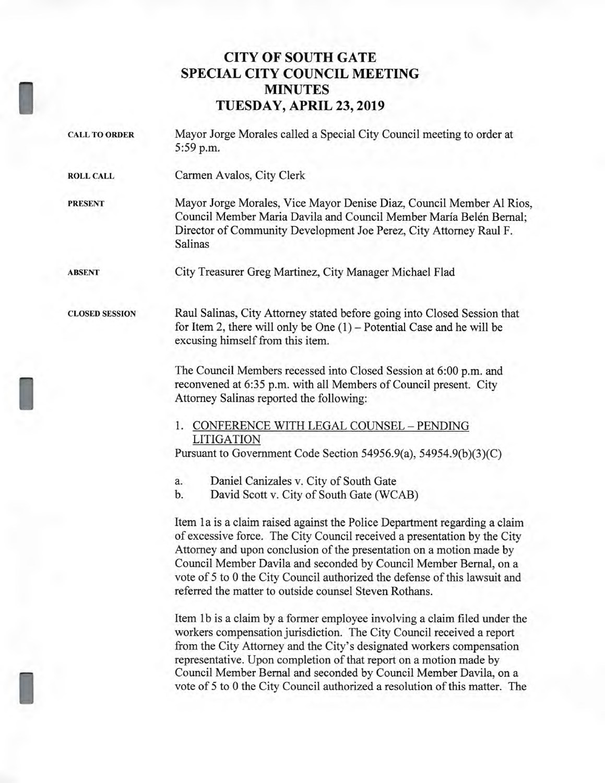## **CITY OF SOUTH GATE SPECIAL CITY COUNCIL MEETING MINUTES TUESDAY, APRIL 23, 2019**

| <b>CALL TO ORDER</b>  | Mayor Jorge Morales called a Special City Council meeting to order at<br>5:59 p.m.                                                                                                                                                                                                                                                                                                                                                                    |
|-----------------------|-------------------------------------------------------------------------------------------------------------------------------------------------------------------------------------------------------------------------------------------------------------------------------------------------------------------------------------------------------------------------------------------------------------------------------------------------------|
| <b>ROLL CALL</b>      | Carmen Avalos, City Clerk                                                                                                                                                                                                                                                                                                                                                                                                                             |
| <b>PRESENT</b>        | Mayor Jorge Morales, Vice Mayor Denise Diaz, Council Member Al Rios,<br>Council Member Maria Davila and Council Member María Belén Bernal;<br>Director of Community Development Joe Perez, City Attorney Raul F.<br>Salinas                                                                                                                                                                                                                           |
| <b>ABSENT</b>         | City Treasurer Greg Martinez, City Manager Michael Flad                                                                                                                                                                                                                                                                                                                                                                                               |
| <b>CLOSED SESSION</b> | Raul Salinas, City Attorney stated before going into Closed Session that<br>for Item 2, there will only be One $(1)$ – Potential Case and he will be<br>excusing himself from this item.                                                                                                                                                                                                                                                              |
|                       | The Council Members recessed into Closed Session at 6:00 p.m. and<br>reconvened at 6:35 p.m. with all Members of Council present. City<br>Attorney Salinas reported the following:                                                                                                                                                                                                                                                                    |
|                       | 1. CONFERENCE WITH LEGAL COUNSEL - PENDING<br><b>LITIGATION</b>                                                                                                                                                                                                                                                                                                                                                                                       |
|                       | Pursuant to Government Code Section 54956.9(a), 54954.9(b)(3)(C)<br>Daniel Canizales v. City of South Gate<br>a.<br>b.<br>David Scott v. City of South Gate (WCAB)                                                                                                                                                                                                                                                                                    |
|                       | Item 1a is a claim raised against the Police Department regarding a claim<br>of excessive force. The City Council received a presentation by the City<br>Attorney and upon conclusion of the presentation on a motion made by                                                                                                                                                                                                                         |
|                       | Council Member Davila and seconded by Council Member Bernal, on a<br>vote of 5 to 0 the City Council authorized the defense of this lawsuit and<br>referred the matter to outside counsel Steven Rothans.                                                                                                                                                                                                                                             |
|                       | Item 1b is a claim by a former employee involving a claim filed under the<br>workers compensation jurisdiction. The City Council received a report<br>from the City Attorney and the City's designated workers compensation<br>representative. Upon completion of that report on a motion made by<br>Council Member Bernal and seconded by Council Member Davila, on a<br>vote of 5 to 0 the City Council authorized a resolution of this matter. The |
|                       |                                                                                                                                                                                                                                                                                                                                                                                                                                                       |

I

I